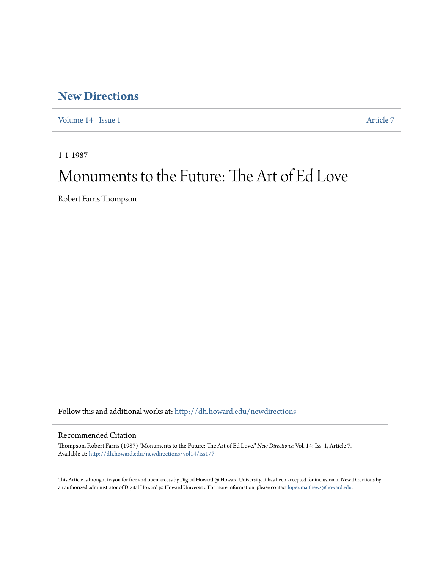## **[New Directions](http://dh.howard.edu/newdirections?utm_source=dh.howard.edu%2Fnewdirections%2Fvol14%2Fiss1%2F7&utm_medium=PDF&utm_campaign=PDFCoverPages)**

[Volume 14](http://dh.howard.edu/newdirections/vol14?utm_source=dh.howard.edu%2Fnewdirections%2Fvol14%2Fiss1%2F7&utm_medium=PDF&utm_campaign=PDFCoverPages) | [Issue 1](http://dh.howard.edu/newdirections/vol14/iss1?utm_source=dh.howard.edu%2Fnewdirections%2Fvol14%2Fiss1%2F7&utm_medium=PDF&utm_campaign=PDFCoverPages) [Article 7](http://dh.howard.edu/newdirections/vol14/iss1/7?utm_source=dh.howard.edu%2Fnewdirections%2Fvol14%2Fiss1%2F7&utm_medium=PDF&utm_campaign=PDFCoverPages)

1-1-1987

## Monuments to the Future: The Art of Ed Love

Robert Farris Thompson

Follow this and additional works at: [http://dh.howard.edu/newdirections](http://dh.howard.edu/newdirections?utm_source=dh.howard.edu%2Fnewdirections%2Fvol14%2Fiss1%2F7&utm_medium=PDF&utm_campaign=PDFCoverPages)

### Recommended Citation

Thompson, Robert Farris (1987) "Monuments to the Future: The Art of Ed Love," *New Directions*: Vol. 14: Iss. 1, Article 7. Available at: [http://dh.howard.edu/newdirections/vol14/iss1/7](http://dh.howard.edu/newdirections/vol14/iss1/7?utm_source=dh.howard.edu%2Fnewdirections%2Fvol14%2Fiss1%2F7&utm_medium=PDF&utm_campaign=PDFCoverPages)

This Article is brought to you for free and open access by Digital Howard @ Howard University. It has been accepted for inclusion in New Directions by an authorized administrator of Digital Howard @ Howard University. For more information, please contact [lopez.matthews@howard.edu](mailto:lopez.matthews@howard.edu).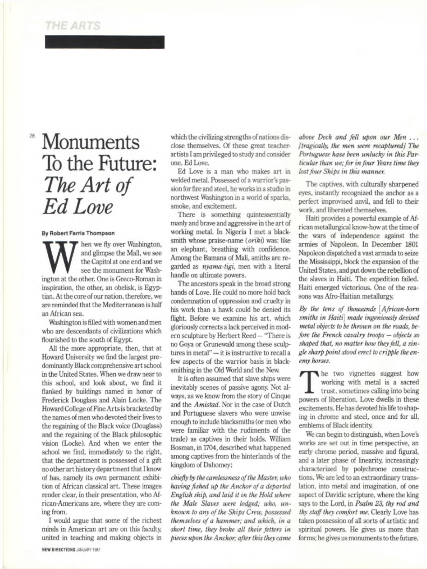## **THE ARTS**

# **Monuments** To the Future: *The A rt of Ed Love*

#### **By Robert Farris Thompson**

M<br>
Interval at the other. One is Greco-Roman in<br>
the other. One is Greco-Roman in hen we fly over Washington, and glimpse the Mall, we see the Capitol at one end and we see the monument for Washinspiration, the other, an obelisk, is Egyptian. At the core of our nation, therefore, we are reminded that the Mediterranean is half an African sea.

Washington is filled with women and men who are descendants of civilizations which flourished to the south of Egypt.

All the more appropriate, then, that at Howard University we find the largest predominantly Black comprehensive art school in the United States. When we draw near to this school, and look about, we find it flanked by buildings named in honor of Frederick Douglass and Alain Locke. The Howard College of Fine Arts is bracketed by the names of men who devoted their lives to the regaining of the Black voice (Douglass) and the regaining of the Black philosophic vision (Locke). And when we enter the school we find, immediately to the right, that the department is possessed of a gift no other art history department that I know of has, namely its own permanent exhibition of African classical art. These images render clear, in their presentation, who African-Americans are, where they are coming from.

I would argue that some of the richest minds in American art are on this faculty, united in teaching and making objects in

which the civilizing strengths of nations disclose themselves. Of these great teacherartists I am privileged to study and consider one, Ed Love.

Ed Love is a man who makes art in welded metal. Possessed of a warrior's passion for fire and steel, he works in a studio in northwest Washington in a world of sparks, smoke, and excitement.

There is something quintessentially manly and brave and aggressive in the art of working metal. In Nigeria I met a blacksmith whose praise-name (*oriki)* was: like an elephant, breathing with confidence. Among the Bamana of Mali, smiths are regarded as *nyama-tigi,* men with a literal handle on ultimate powers.

The ancestors speak in the broad strong hands of Love. He could no more hold back condemnation of oppression and cruelty in his work than a hawk could be denied its flight. Before we examine his art, which gloriously corrects a lack perceived in modern sculpture by Herbert Reed—"There is no Goya or Grunewald among these sculptures in metal" — it is instructive to recall a few aspects of the warrior basis in blacksmithing in the Old World and the New.

It is often assumed that slave ships were inevitably scenes of passive agony. Not always, as we know from the story of Cinque and the *Amistad.* Nor in the case of Dutch and Portuguese slavers who were unwise enough to include blacksmiths (or men who were familiar with the rudiments of the trade) as captives in their holds. William Bosman, in 1704, described what happened among captives from the hinterlands of the kingdom of Dahomey:

*chiefly by the carelessness of the Master, who having fished up the Anchor of a departed English ship, and laid it in the Hold where the Male Slaves were lodged; who, unknown to any of the Ships Crew, possessed themselves of a hammer; and which, in a short time, they broke all their fetters in pieces upon the Anchor; after this they came* *above Deck and fell upon our Men . . . [tragically, the men were recaptured] The Portuguese have been unlucky in this Particular than we; for in four Years time they lost four Ships in this manner.*

The captives, with culturally sharpened eyes, instantly recognized the anchor as a perfect improvised anvil, and fell to their work, and liberated themselves.

Haiti provides a powerful example of African metallurgical know-how at the time of the wars of independence against the armies of Napoleon. In December 1801 Napoleon dispatched a vast armada to seize the Mississippi, block the expansion of the United States, and put down the rebellion of the slaves in Haiti. The expedition failed. Haiti emerged victorious. One of the reasons was Afro-Haitian metallurgy.

*By the tens of thousands* [*African-born smiths in Haiti] made ingeniously devised metal objects to be thrown on the roads, before the French cavalry troops* — *objects so shaped that, no matter how they fell, a single sharp point stood erect to cripple the enemy horses.*

The two vignettes suggest how working with metal is a sacred trust, sometimes calling into being powers of liberation. Love dwells in these he two vignettes suggest how working with metal is a sacred trust, sometimes calling into being excitements. He has devoted his life to shaping in chrome and steel, once and for all, emblems of Black identity.

We can begin to distinguish, when Love's works are set out in time perspective, an early chrome period, massive and figural, and a later phase of linearity, increasingly characterized by polychrome constructions. We are led to an extraordinary translation, into metal and imagination, of one aspect of Davidic scripture, where the king says to the Lord, in *Psalm 23, thy rod and thy staff they comfort me.* Clearly Love has taken possession of all sorts of artistic and spiritual powers. He gives us more than forms; he gives us monuments to the future.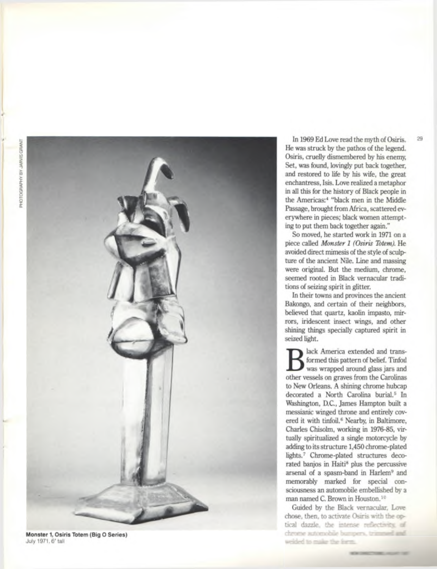

**Monster 1, Osiris Totem (Big O Series)** July 1971,6' tall

In 1969 Ed Love read the myth of Osiris. 29 He was struck by the pathos of the legend. Osiris, cruelly dismembered by his enemy, Set, was found, lovingly put back together, and restored to life by his wife, the great enchantress, Isis. Love realized a metaphor in all this for the history of Black people in the Americas:4 "black men in the Middle Passage, brought from Africa, scattered everywhere in pieces; black women attempting to put them back together again."

So moved, he started work in 1971 on a piece called *Monster 1 (Osiris Totem).* He avoided direct mimesis of the style of sculpture of the ancient Nile. Line and massing were original. But the medium, chrome, seemed rooted in Black vernacular traditions of seizing spirit in glitter.

In their towns and provinces the ancient Bakongo, and certain of their neighbors, believed that quartz, kaolin impasto, mirrors, iridescent insect wings, and other shining things specially captured spirit in seized light.

B lack America extended and transformed this pattern of belief. Tinfoll was wrapped around glass jars and other vessels on graves from the Carolinas lack America extended and transformed this pattern of belief. Tinfoil was wrapped around glass jars and to New Orleans. A shining chrome hubcap decorated a North Carolina burial.<sup>5</sup> In Washington, D.C., James Hampton built a messianic winged throne and entirely covered it with tinfoil.<sup>6</sup> Nearby, in Baltimore, Charles Chisolm, working in 1976-85, virtually spiritualized a single motorcycle by adding to its structure 1,450 chrome-plated lights.7 Chrome-plated structures decorated banjos in Haiti<sup>8</sup> plus the percussive arsenal of a spasm-band in Harlem<sup>9</sup> and memorably marked for special consciousness an automobile embellished by a man named C. Brown in Houston.10

Guided by the Black vernacular. Love chose, then, to activate Osiris with the optical dazzle, the intense reflectivity, of chrome automobile bumpers, trimmed and weided to make the form.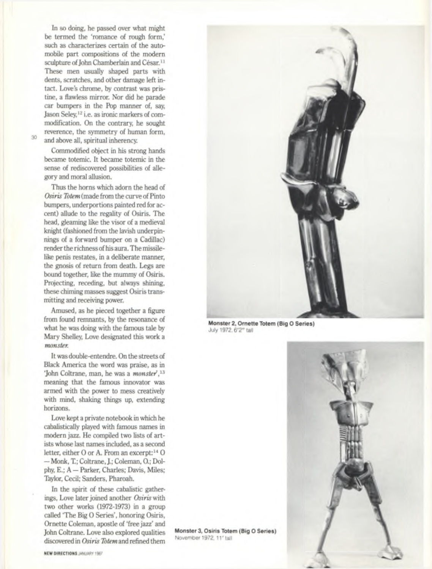In so doing, he passed over what might be termed the 'romance of rough form,' such as characterizes certain of the automobile part compositions of the modern sculpture of John Chamberlain and César.<sup>11</sup> These men usually shaped parts with dents, scratches, and other damage left intact. Love's chrome, by contrast was pristine, a flawless mirror. Nor did he parade car bumpers in the Pop manner of, say, Jason Seley,12 i.e. as ironic markers of commodification. On the contrary, he sought reverence, the symmetry of human form, 30 and above all, spiritual inherency.

Commodified object in his strong hands became totemic. It became totemic in the sense of rediscovered possibilities of allegory and moral allusion.

Thus the horns which adorn the head of *Osiris Totem* (made from the curve of Pinto bumpers, underportions painted red for accent) allude to the regality of Osiris. The head, gleaming like the visor of a medieval knight (fashioned from the lavish underpinnings of a forward bumper on a Cadillac) render the richness of his aura. The missilelike penis restates, in a deliberate manner, the gnosis of return from death. Legs are bound together, like the mummy of Osiris. Projecting, receding, but always shining, these chiming masses suggest Osiris transmitting and receiving power.

Amused, as he pieced together a figure from found remnants, by the resonance of what he was doing with the famous tale by Mary Shelley, Love designated this work a *monster.*

It was double-entendre. On the streets of Black America the word was praise, as in 'John Coltrane, man, he was a *monster',13* meaning that the famous innovator was armed with the power to mess creatively with mind, shaking things up, extending horizons.

Love kept a private notebook in which he cabalistically played with famous names in modern jazz. He compiled two lists of artists whose last names included, as a second letter, either O or A. From an excerpt:<sup>14</sup> O — Monk, T.; Coltrane, J.; Coleman, 0.; Dolphy, E.; A — Parker, Charles; Davis, Miles; Taylor, Cecil; Sanders, Pharoah.

In the spirit of these cabalistic gatherings, Love later joined another *Osiris* with two other works (1972-1973) in a group called 'The Big 0 Series', honoring Osiris, Ornette Coleman, apostle of 'free jazz' and John Coltrane. Love also explored qualities discovered in *Osiris Totem* and refined them



**Monster 2, Ornette Totem (Big O Series)** July 1972, 6 '2" tall



**Monster 3, Osiris Totem (Big O Series)** November 1972, 11' tall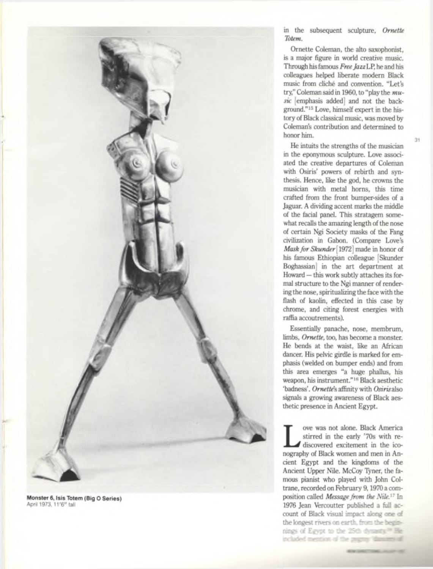

**Monster 6, Isis Totem (Big O Series)** April 1973, 11'6" tall

in the subsequent sculpture, *Ornette Totem.*

Ornette Coleman, the alto saxophonist, is a major figure in world creative music. Through his famous *Free Jazz* LP, he and his colleagues helped liberate modern Black music from cliche and convention. "Let's try," Coleman said in 1960, to "play the *m usic* [emphasis added] and not the background."15 Love, himself expert in the history of Black classical music, was moved by Coleman's contribution and determined to honor him.

ğ1

He intuits the strengths of the musician in the eponymous sculpture. Love associated the creative departures of Coleman with Osiris' powers of rebirth and synthesis. Hence, like the god, he crowns the musician with metal horns, this time crafted from the front bumper-sides of a Jaguar. A dividing accent marks the middle of the facial panel. This stratagem somewhat recalls the amazing length of the nose of certain Ngi Society masks of the Fang civilization in Gabon. (Compare Love's *Mask for Skunder* [1972] made in honor of his famous Ethiopian colleague [Skunder Boghassian] in the art department at Howard — this work subtly attaches its formal structure to the Ngi manner of rendering the nose, spiritualizing the face with the flash of kaolin, effected in this case by chrome, and citing forest energies with raffia accoutrements).

Essentially panache, nose, membrum, limbs, *Ornette,* too, has become a monster. He bends at the waist, like an African dancer. His pelvic girdle is marked for emphasis (welded on bumper ends) and from this area emerges "a huge phallus, his weapon, his instrument."16 Black aesthetic 'badness'. *Ornette's* affinity with *Osiris* also signals a growing awareness of Black aesthetic presence in Ancient Egypt.

ove was not alone. Black America we was not alone. Black America<br>
stirred in the early '70s with re-<br>
discovered excitement in the ico-<br>
nography of Black women and men in Anstirred in the early '70s with rediscovered excitement in the icocient Egypt and the kingdoms of the Ancient Upper Nile. McCoy Tyner, the famous pianist who played with John Coltrane, recorded on February 9,1970 a composition called *Message from the Nile.17* In 1976 Jean Vercoutter published a full account of Black visual impact along one of the longest rivers on earth, from the beginnings of Egypt to the 25th dynastic<sup>on</sup> Heincluded mention of the paginy "dissurers of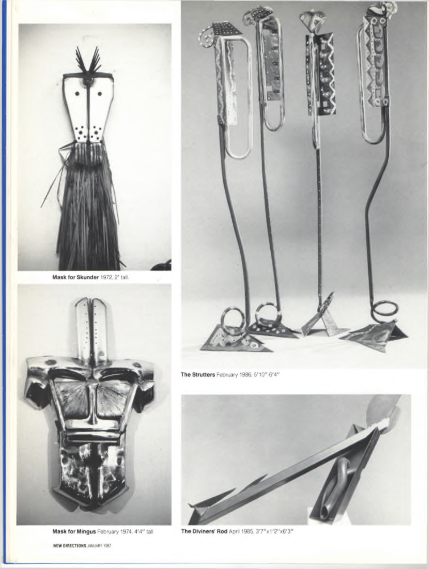

Mask for Skunder 1972, 2' tall.



The Strutters February 1986, 5'10"-6'4"

**Mask for Mingus** February 1974, 4 '4" tall **The Diviners' Rod** April 1985, 3'7"x1'2"x6'3"

**NEW DIRECTIONS** JANUARY 1987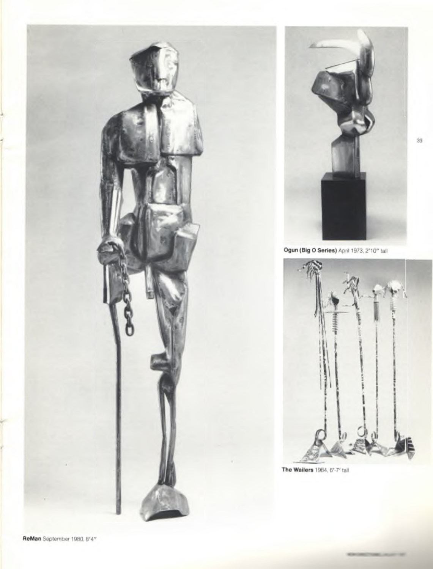



39

**Ogun (Big O Series)** April 1973, 2'10" tall



**The Waiters** 1984, 6'-7' tall